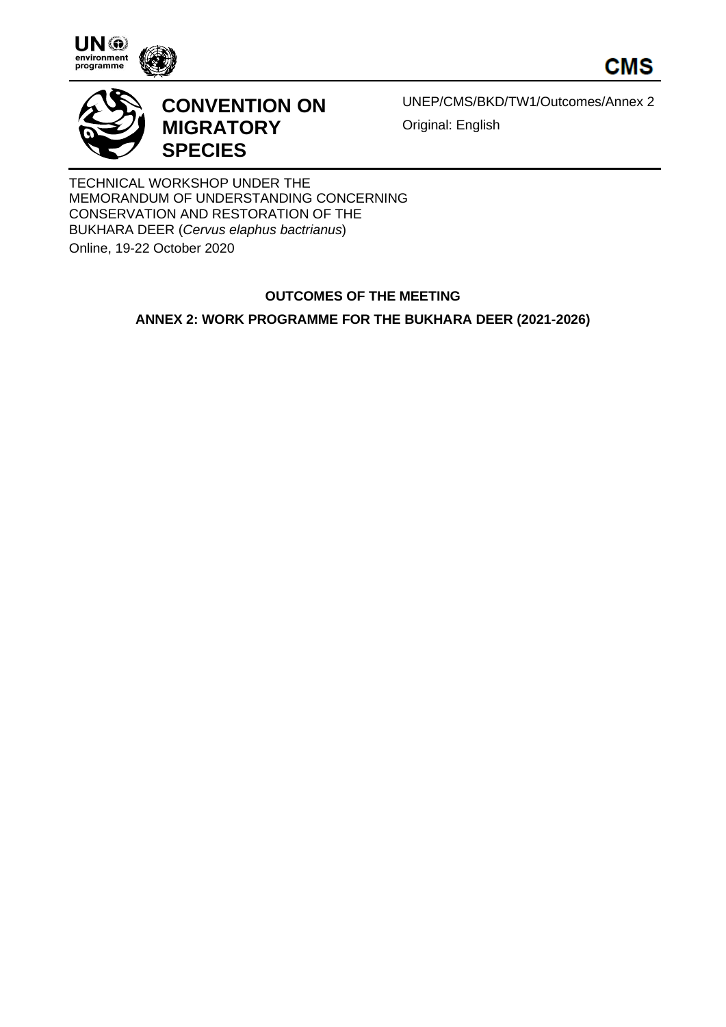





## **CONVENTION ON MIGRATORY SPECIES**

UNEP/CMS/BKD/TW1/Outcomes/Annex 2 Original: English

TECHNICAL WORKSHOP UNDER THE MEMORANDUM OF UNDERSTANDING CONCERNING CONSERVATION AND RESTORATION OF THE BUKHARA DEER (*Cervus elaphus bactrianus*)

Online, 19-22 October 2020

## **OUTCOMES OF THE MEETING**

**ANNEX 2: WORK PROGRAMME FOR THE BUKHARA DEER (2021-2026)**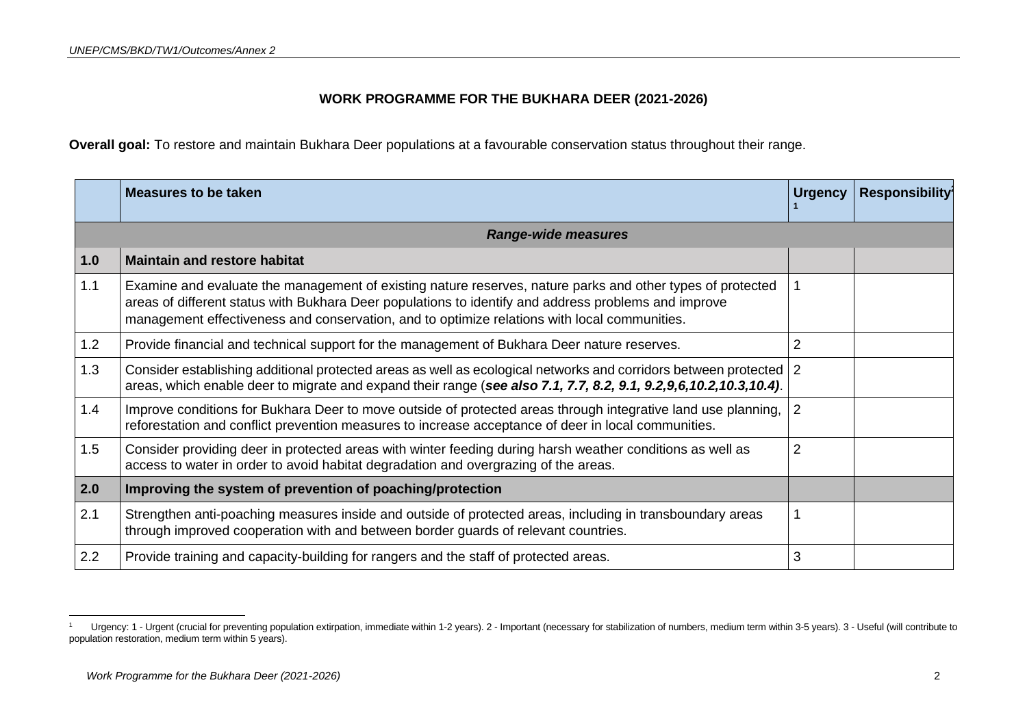## **WORK PROGRAMME FOR THE BUKHARA DEER (2021-2026)**

**Overall goal:** To restore and maintain Bukhara Deer populations at a favourable conservation status throughout their range.

|     | <b>Measures to be taken</b>                                                                                                                                                                                                                                                                                        | <b>Urgency</b> | Responsibility |
|-----|--------------------------------------------------------------------------------------------------------------------------------------------------------------------------------------------------------------------------------------------------------------------------------------------------------------------|----------------|----------------|
|     | <b>Range-wide measures</b>                                                                                                                                                                                                                                                                                         |                |                |
| 1.0 | <b>Maintain and restore habitat</b>                                                                                                                                                                                                                                                                                |                |                |
| 1.1 | Examine and evaluate the management of existing nature reserves, nature parks and other types of protected<br>areas of different status with Bukhara Deer populations to identify and address problems and improve<br>management effectiveness and conservation, and to optimize relations with local communities. |                |                |
| 1.2 | Provide financial and technical support for the management of Bukhara Deer nature reserves.                                                                                                                                                                                                                        | 2              |                |
| 1.3 | Consider establishing additional protected areas as well as ecological networks and corridors between protected<br>areas, which enable deer to migrate and expand their range (see also 7.1, 7.7, 8.2, 9.1, 9.2, 9,6, 10.2, 10.3, 10.4).                                                                           | 2              |                |
| 1.4 | Improve conditions for Bukhara Deer to move outside of protected areas through integrative land use planning,<br>reforestation and conflict prevention measures to increase acceptance of deer in local communities.                                                                                               | 2              |                |
| 1.5 | Consider providing deer in protected areas with winter feeding during harsh weather conditions as well as<br>access to water in order to avoid habitat degradation and overgrazing of the areas.                                                                                                                   | $\overline{2}$ |                |
| 2.0 | Improving the system of prevention of poaching/protection                                                                                                                                                                                                                                                          |                |                |
| 2.1 | Strengthen anti-poaching measures inside and outside of protected areas, including in transboundary areas<br>through improved cooperation with and between border guards of relevant countries.                                                                                                                    |                |                |
| 2.2 | Provide training and capacity-building for rangers and the staff of protected areas.                                                                                                                                                                                                                               | 3              |                |

<sup>&</sup>lt;sup>1</sup> Urgency: 1 - Urgent (crucial for preventing population extirpation, immediate within 1-2 years). 2 - Important (necessary for stabilization of numbers, medium term within 3-5 years). 3 - Useful (will contribute to population restoration, medium term within 5 years).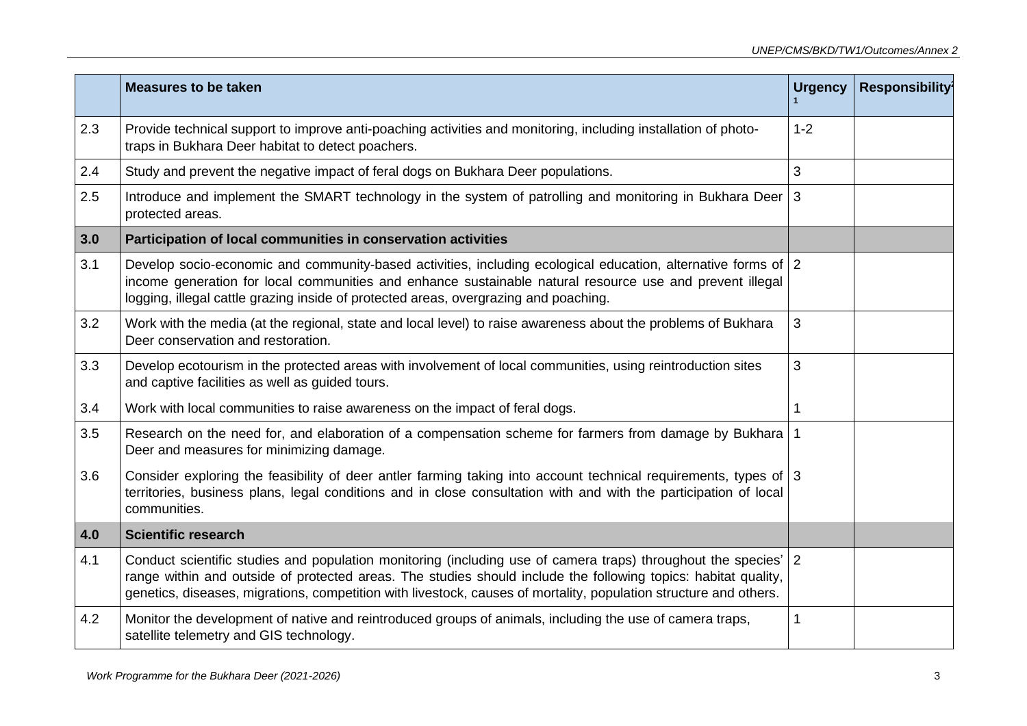|     | <b>Measures to be taken</b>                                                                                                                                                                                                                                                                                                                         | <b>Urgency</b> | <b>Responsibility</b> |
|-----|-----------------------------------------------------------------------------------------------------------------------------------------------------------------------------------------------------------------------------------------------------------------------------------------------------------------------------------------------------|----------------|-----------------------|
| 2.3 | Provide technical support to improve anti-poaching activities and monitoring, including installation of photo-<br>traps in Bukhara Deer habitat to detect poachers.                                                                                                                                                                                 | $1 - 2$        |                       |
| 2.4 | Study and prevent the negative impact of feral dogs on Bukhara Deer populations.                                                                                                                                                                                                                                                                    | 3              |                       |
| 2.5 | Introduce and implement the SMART technology in the system of patrolling and monitoring in Bukhara Deer 3<br>protected areas.                                                                                                                                                                                                                       |                |                       |
| 3.0 | Participation of local communities in conservation activities                                                                                                                                                                                                                                                                                       |                |                       |
| 3.1 | Develop socio-economic and community-based activities, including ecological education, alternative forms of 2<br>income generation for local communities and enhance sustainable natural resource use and prevent illegal<br>logging, illegal cattle grazing inside of protected areas, overgrazing and poaching.                                   |                |                       |
| 3.2 | Work with the media (at the regional, state and local level) to raise awareness about the problems of Bukhara<br>Deer conservation and restoration.                                                                                                                                                                                                 | 3              |                       |
| 3.3 | Develop ecotourism in the protected areas with involvement of local communities, using reintroduction sites<br>and captive facilities as well as guided tours.                                                                                                                                                                                      | 3              |                       |
| 3.4 | Work with local communities to raise awareness on the impact of feral dogs.                                                                                                                                                                                                                                                                         |                |                       |
| 3.5 | Research on the need for, and elaboration of a compensation scheme for farmers from damage by Bukhara<br>Deer and measures for minimizing damage.                                                                                                                                                                                                   |                |                       |
| 3.6 | Consider exploring the feasibility of deer antler farming taking into account technical requirements, types of 3<br>territories, business plans, legal conditions and in close consultation with and with the participation of local<br>communities.                                                                                                |                |                       |
| 4.0 | <b>Scientific research</b>                                                                                                                                                                                                                                                                                                                          |                |                       |
| 4.1 | Conduct scientific studies and population monitoring (including use of camera traps) throughout the species'<br>range within and outside of protected areas. The studies should include the following topics: habitat quality,<br>genetics, diseases, migrations, competition with livestock, causes of mortality, population structure and others. | $\overline{2}$ |                       |
| 4.2 | Monitor the development of native and reintroduced groups of animals, including the use of camera traps,<br>satellite telemetry and GIS technology.                                                                                                                                                                                                 | 1              |                       |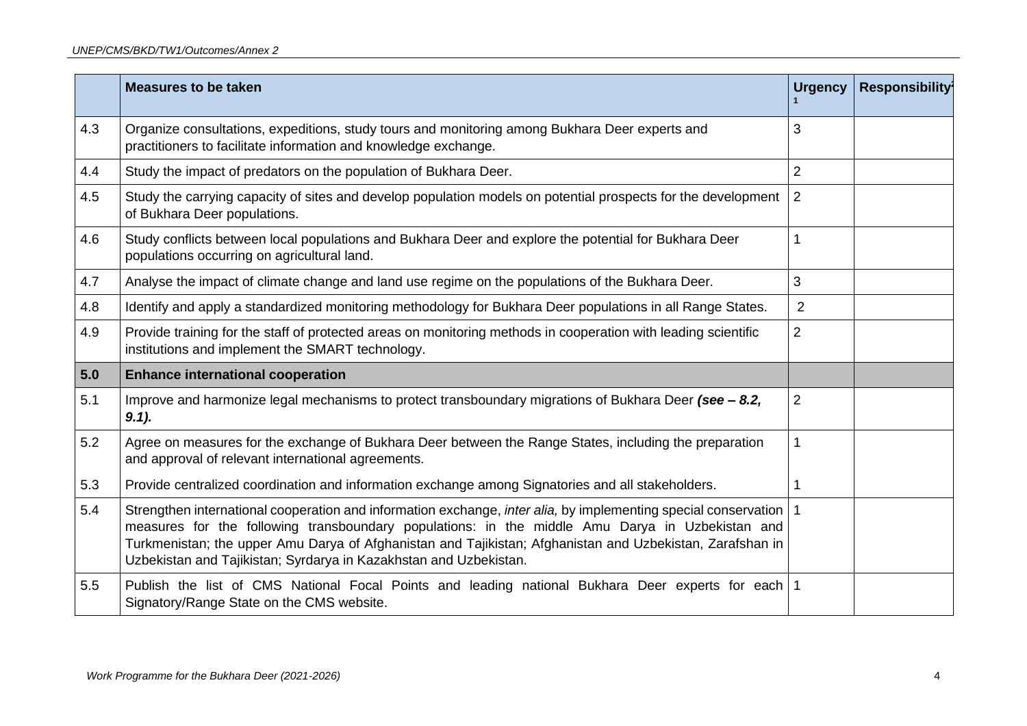|     | <b>Measures to be taken</b>                                                                                                                                                                                                                                                                                                                                                                              | <b>Urgency</b> | <b>Responsibility</b> |
|-----|----------------------------------------------------------------------------------------------------------------------------------------------------------------------------------------------------------------------------------------------------------------------------------------------------------------------------------------------------------------------------------------------------------|----------------|-----------------------|
| 4.3 | Organize consultations, expeditions, study tours and monitoring among Bukhara Deer experts and<br>practitioners to facilitate information and knowledge exchange.                                                                                                                                                                                                                                        | 3              |                       |
| 4.4 | Study the impact of predators on the population of Bukhara Deer.                                                                                                                                                                                                                                                                                                                                         | $\overline{2}$ |                       |
| 4.5 | Study the carrying capacity of sites and develop population models on potential prospects for the development<br>of Bukhara Deer populations.                                                                                                                                                                                                                                                            | 2              |                       |
| 4.6 | Study conflicts between local populations and Bukhara Deer and explore the potential for Bukhara Deer<br>populations occurring on agricultural land.                                                                                                                                                                                                                                                     | 1              |                       |
| 4.7 | Analyse the impact of climate change and land use regime on the populations of the Bukhara Deer.                                                                                                                                                                                                                                                                                                         | 3              |                       |
| 4.8 | Identify and apply a standardized monitoring methodology for Bukhara Deer populations in all Range States.                                                                                                                                                                                                                                                                                               | $\overline{2}$ |                       |
| 4.9 | Provide training for the staff of protected areas on monitoring methods in cooperation with leading scientific<br>institutions and implement the SMART technology.                                                                                                                                                                                                                                       | $\overline{2}$ |                       |
| 5.0 | <b>Enhance international cooperation</b>                                                                                                                                                                                                                                                                                                                                                                 |                |                       |
| 5.1 | Improve and harmonize legal mechanisms to protect transboundary migrations of Bukhara Deer (see $-$ 8.2,<br>$9.1$ ).                                                                                                                                                                                                                                                                                     | $\overline{2}$ |                       |
| 5.2 | Agree on measures for the exchange of Bukhara Deer between the Range States, including the preparation<br>and approval of relevant international agreements.                                                                                                                                                                                                                                             | 1              |                       |
| 5.3 | Provide centralized coordination and information exchange among Signatories and all stakeholders.                                                                                                                                                                                                                                                                                                        | 1              |                       |
| 5.4 | Strengthen international cooperation and information exchange, inter alia, by implementing special conservation   1<br>measures for the following transboundary populations: in the middle Amu Darya in Uzbekistan and<br>Turkmenistan; the upper Amu Darya of Afghanistan and Tajikistan; Afghanistan and Uzbekistan, Zarafshan in<br>Uzbekistan and Tajikistan; Syrdarya in Kazakhstan and Uzbekistan. |                |                       |
| 5.5 | Publish the list of CMS National Focal Points and leading national Bukhara Deer experts for each 1<br>Signatory/Range State on the CMS website.                                                                                                                                                                                                                                                          |                |                       |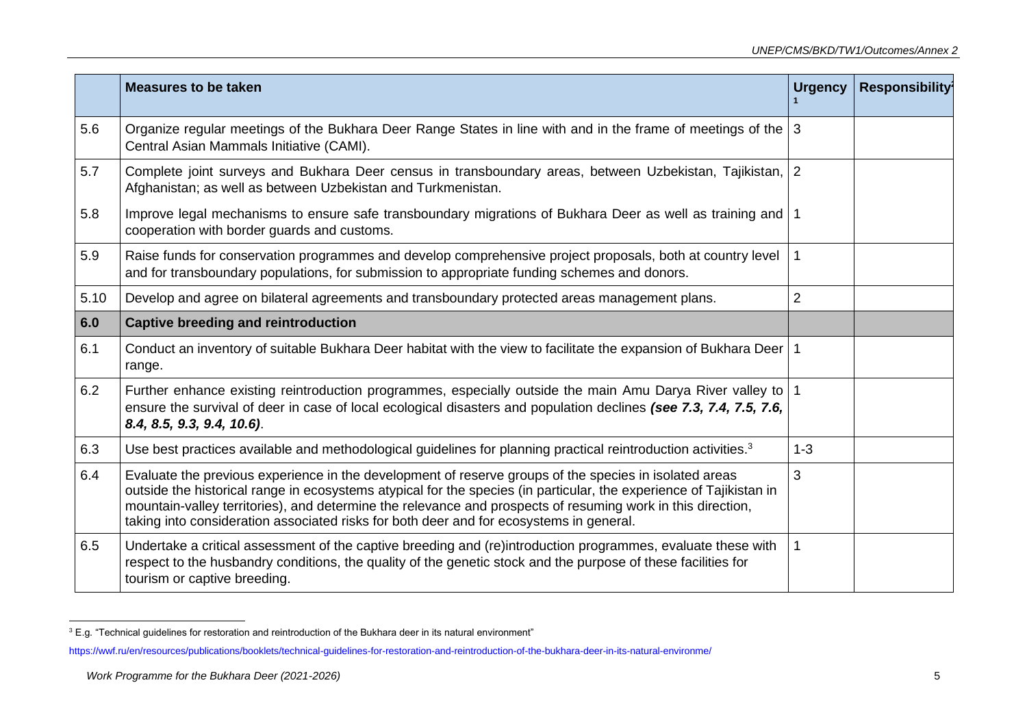|      | <b>Measures to be taken</b>                                                                                                                                                                                                                                                                                                                                                                                                             | <b>Urgency</b> | <b>Responsibility</b> |
|------|-----------------------------------------------------------------------------------------------------------------------------------------------------------------------------------------------------------------------------------------------------------------------------------------------------------------------------------------------------------------------------------------------------------------------------------------|----------------|-----------------------|
| 5.6  | Organize regular meetings of the Bukhara Deer Range States in line with and in the frame of meetings of the 3<br>Central Asian Mammals Initiative (CAMI).                                                                                                                                                                                                                                                                               |                |                       |
| 5.7  | Complete joint surveys and Bukhara Deer census in transboundary areas, between Uzbekistan, Tajikistan, 2<br>Afghanistan; as well as between Uzbekistan and Turkmenistan.                                                                                                                                                                                                                                                                |                |                       |
| 5.8  | Improve legal mechanisms to ensure safe transboundary migrations of Bukhara Deer as well as training and<br>cooperation with border guards and customs.                                                                                                                                                                                                                                                                                 |                |                       |
| 5.9  | Raise funds for conservation programmes and develop comprehensive project proposals, both at country level<br>and for transboundary populations, for submission to appropriate funding schemes and donors.                                                                                                                                                                                                                              |                |                       |
| 5.10 | Develop and agree on bilateral agreements and transboundary protected areas management plans.                                                                                                                                                                                                                                                                                                                                           | 2              |                       |
| 6.0  | <b>Captive breeding and reintroduction</b>                                                                                                                                                                                                                                                                                                                                                                                              |                |                       |
| 6.1  | Conduct an inventory of suitable Bukhara Deer habitat with the view to facilitate the expansion of Bukhara Deer   1<br>range.                                                                                                                                                                                                                                                                                                           |                |                       |
| 6.2  | Further enhance existing reintroduction programmes, especially outside the main Amu Darya River valley to   1<br>ensure the survival of deer in case of local ecological disasters and population declines (see 7.3, 7.4, 7.5, 7.6,<br>8.4, 8.5, 9.3, 9.4, 10.6).                                                                                                                                                                       |                |                       |
| 6.3  | Use best practices available and methodological guidelines for planning practical reintroduction activities. <sup>3</sup>                                                                                                                                                                                                                                                                                                               | $1 - 3$        |                       |
| 6.4  | Evaluate the previous experience in the development of reserve groups of the species in isolated areas<br>outside the historical range in ecosystems atypical for the species (in particular, the experience of Tajikistan in<br>mountain-valley territories), and determine the relevance and prospects of resuming work in this direction,<br>taking into consideration associated risks for both deer and for ecosystems in general. | 3              |                       |
| 6.5  | Undertake a critical assessment of the captive breeding and (re)introduction programmes, evaluate these with<br>respect to the husbandry conditions, the quality of the genetic stock and the purpose of these facilities for<br>tourism or captive breeding.                                                                                                                                                                           | 1              |                       |

<sup>&</sup>lt;sup>3</sup> E.g. "Technical guidelines for restoration and reintroduction of the Bukhara deer in its natural environment"

<https://wwf.ru/en/resources/publications/booklets/technical-guidelines-for-restoration-and-reintroduction-of-the-bukhara-deer-in-its-natural-environme/>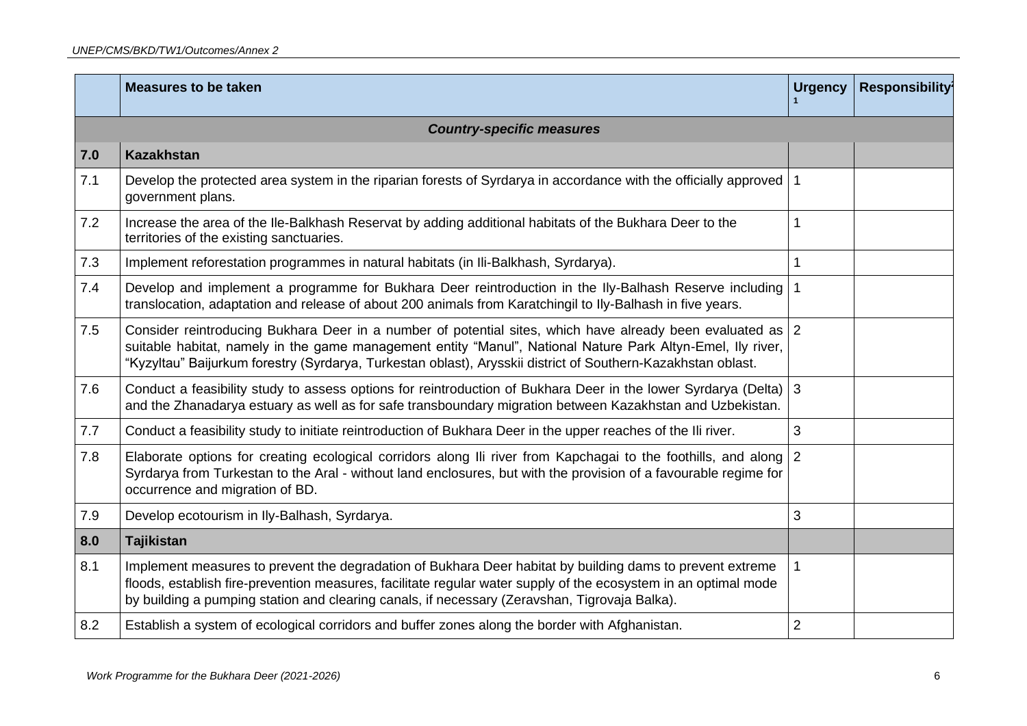|     | <b>Measures to be taken</b>                                                                                                                                                                                                                                                                                                               | <b>Urgency</b> | Responsibility |
|-----|-------------------------------------------------------------------------------------------------------------------------------------------------------------------------------------------------------------------------------------------------------------------------------------------------------------------------------------------|----------------|----------------|
|     | <b>Country-specific measures</b>                                                                                                                                                                                                                                                                                                          |                |                |
| 7.0 | <b>Kazakhstan</b>                                                                                                                                                                                                                                                                                                                         |                |                |
| 7.1 | Develop the protected area system in the riparian forests of Syrdarya in accordance with the officially approved<br>government plans.                                                                                                                                                                                                     | $\mathbf 1$    |                |
| 7.2 | Increase the area of the Ile-Balkhash Reservat by adding additional habitats of the Bukhara Deer to the<br>territories of the existing sanctuaries.                                                                                                                                                                                       | 1              |                |
| 7.3 | Implement reforestation programmes in natural habitats (in Ili-Balkhash, Syrdarya).                                                                                                                                                                                                                                                       | 1              |                |
| 7.4 | Develop and implement a programme for Bukhara Deer reintroduction in the Ily-Balhash Reserve including<br>translocation, adaptation and release of about 200 animals from Karatchingil to Ily-Balhash in five years.                                                                                                                      | $\mathbf 1$    |                |
| 7.5 | Consider reintroducing Bukhara Deer in a number of potential sites, which have already been evaluated as 2<br>suitable habitat, namely in the game management entity "Manul", National Nature Park Altyn-Emel, Ily river,<br>"Kyzyltau" Baijurkum forestry (Syrdarya, Turkestan oblast), Arysskii district of Southern-Kazakhstan oblast. |                |                |
| 7.6 | Conduct a feasibility study to assess options for reintroduction of Bukhara Deer in the lower Syrdarya (Delta)<br>and the Zhanadarya estuary as well as for safe transboundary migration between Kazakhstan and Uzbekistan.                                                                                                               | $\mathbf{3}$   |                |
| 7.7 | Conduct a feasibility study to initiate reintroduction of Bukhara Deer in the upper reaches of the Ili river.                                                                                                                                                                                                                             | 3              |                |
| 7.8 | Elaborate options for creating ecological corridors along Ili river from Kapchagai to the foothills, and along<br>Syrdarya from Turkestan to the Aral - without land enclosures, but with the provision of a favourable regime for<br>occurrence and migration of BD.                                                                     | 2              |                |
| 7.9 | Develop ecotourism in Ily-Balhash, Syrdarya.                                                                                                                                                                                                                                                                                              | 3              |                |
| 8.0 | <b>Tajikistan</b>                                                                                                                                                                                                                                                                                                                         |                |                |
| 8.1 | Implement measures to prevent the degradation of Bukhara Deer habitat by building dams to prevent extreme<br>floods, establish fire-prevention measures, facilitate regular water supply of the ecosystem in an optimal mode<br>by building a pumping station and clearing canals, if necessary (Zeravshan, Tigrovaja Balka).             |                |                |
| 8.2 | Establish a system of ecological corridors and buffer zones along the border with Afghanistan.                                                                                                                                                                                                                                            | $\overline{2}$ |                |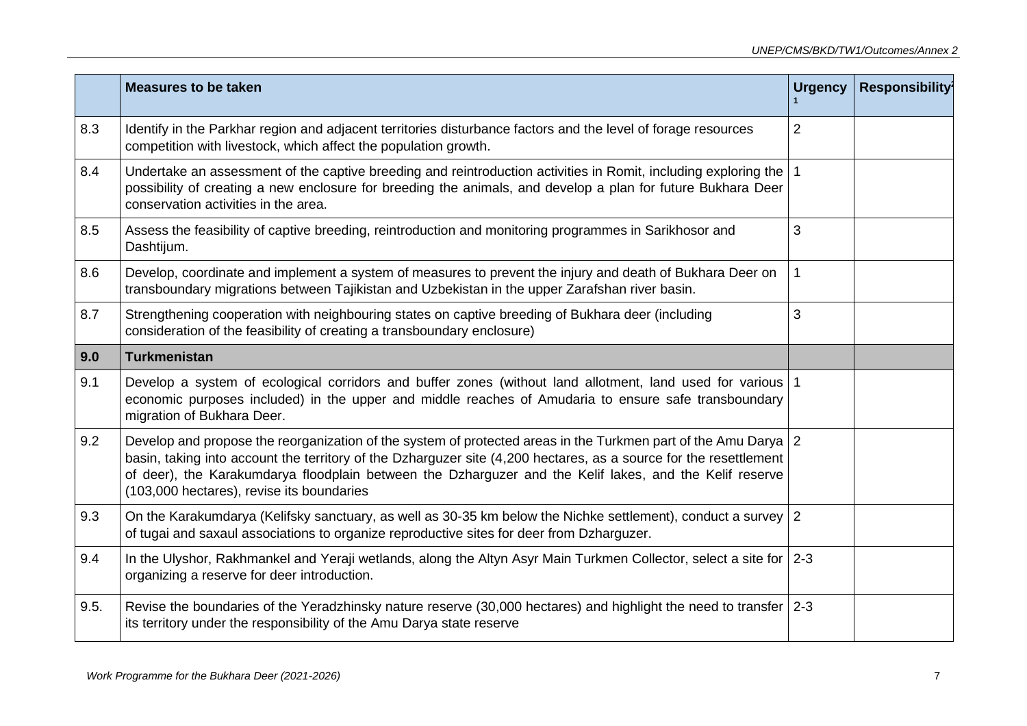|      | <b>Measures to be taken</b>                                                                                                                                                                                                                                                                                                                                                                 | <b>Urgency</b> | <b>Responsibility</b> |
|------|---------------------------------------------------------------------------------------------------------------------------------------------------------------------------------------------------------------------------------------------------------------------------------------------------------------------------------------------------------------------------------------------|----------------|-----------------------|
| 8.3  | Identify in the Parkhar region and adjacent territories disturbance factors and the level of forage resources<br>competition with livestock, which affect the population growth.                                                                                                                                                                                                            | $\overline{2}$ |                       |
| 8.4  | Undertake an assessment of the captive breeding and reintroduction activities in Romit, including exploring the   1<br>possibility of creating a new enclosure for breeding the animals, and develop a plan for future Bukhara Deer<br>conservation activities in the area.                                                                                                                 |                |                       |
| 8.5  | Assess the feasibility of captive breeding, reintroduction and monitoring programmes in Sarikhosor and<br>Dashtijum.                                                                                                                                                                                                                                                                        | 3              |                       |
| 8.6  | Develop, coordinate and implement a system of measures to prevent the injury and death of Bukhara Deer on<br>transboundary migrations between Tajikistan and Uzbekistan in the upper Zarafshan river basin.                                                                                                                                                                                 | $\mathbf{1}$   |                       |
| 8.7  | Strengthening cooperation with neighbouring states on captive breeding of Bukhara deer (including<br>consideration of the feasibility of creating a transboundary enclosure)                                                                                                                                                                                                                | 3              |                       |
| 9.0  | <b>Turkmenistan</b>                                                                                                                                                                                                                                                                                                                                                                         |                |                       |
| 9.1  | Develop a system of ecological corridors and buffer zones (without land allotment, land used for various   1<br>economic purposes included) in the upper and middle reaches of Amudaria to ensure safe transboundary<br>migration of Bukhara Deer.                                                                                                                                          |                |                       |
| 9.2  | Develop and propose the reorganization of the system of protected areas in the Turkmen part of the Amu Darya 2<br>basin, taking into account the territory of the Dzharguzer site (4,200 hectares, as a source for the resettlement<br>of deer), the Karakumdarya floodplain between the Dzharguzer and the Kelif lakes, and the Kelif reserve<br>(103,000 hectares), revise its boundaries |                |                       |
| 9.3  | On the Karakumdarya (Kelifsky sanctuary, as well as 30-35 km below the Nichke settlement), conduct a survey 2<br>of tugai and saxaul associations to organize reproductive sites for deer from Dzharguzer.                                                                                                                                                                                  |                |                       |
| 9.4  | In the Ulyshor, Rakhmankel and Yeraji wetlands, along the Altyn Asyr Main Turkmen Collector, select a site for 2-3<br>organizing a reserve for deer introduction.                                                                                                                                                                                                                           |                |                       |
| 9.5. | Revise the boundaries of the Yeradzhinsky nature reserve (30,000 hectares) and highlight the need to transfer 2-3<br>its territory under the responsibility of the Amu Darya state reserve                                                                                                                                                                                                  |                |                       |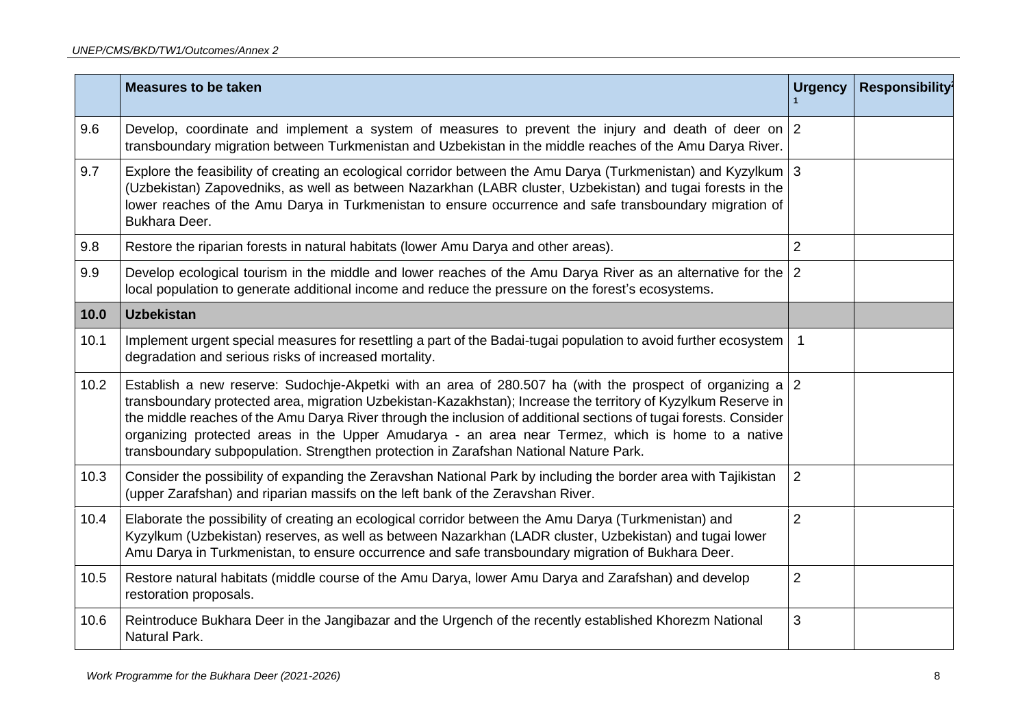|      | <b>Measures to be taken</b>                                                                                                                                                                                                                                                                                                                                                                                                                                                                                                                 | <b>Urgency</b> | <b>Responsibility</b> |
|------|---------------------------------------------------------------------------------------------------------------------------------------------------------------------------------------------------------------------------------------------------------------------------------------------------------------------------------------------------------------------------------------------------------------------------------------------------------------------------------------------------------------------------------------------|----------------|-----------------------|
| 9.6  | Develop, coordinate and implement a system of measures to prevent the injury and death of deer on $ 2 $<br>transboundary migration between Turkmenistan and Uzbekistan in the middle reaches of the Amu Darya River.                                                                                                                                                                                                                                                                                                                        |                |                       |
| 9.7  | Explore the feasibility of creating an ecological corridor between the Amu Darya (Turkmenistan) and Kyzylkum 3<br>(Uzbekistan) Zapovedniks, as well as between Nazarkhan (LABR cluster, Uzbekistan) and tugai forests in the<br>lower reaches of the Amu Darya in Turkmenistan to ensure occurrence and safe transboundary migration of<br>Bukhara Deer.                                                                                                                                                                                    |                |                       |
| 9.8  | Restore the riparian forests in natural habitats (lower Amu Darya and other areas).                                                                                                                                                                                                                                                                                                                                                                                                                                                         | $\overline{2}$ |                       |
| 9.9  | Develop ecological tourism in the middle and lower reaches of the Amu Darya River as an alternative for the<br>local population to generate additional income and reduce the pressure on the forest's ecosystems.                                                                                                                                                                                                                                                                                                                           | $\overline{2}$ |                       |
| 10.0 | <b>Uzbekistan</b>                                                                                                                                                                                                                                                                                                                                                                                                                                                                                                                           |                |                       |
| 10.1 | Implement urgent special measures for resettling a part of the Badai-tugai population to avoid further ecosystem<br>degradation and serious risks of increased mortality.                                                                                                                                                                                                                                                                                                                                                                   |                |                       |
| 10.2 | Establish a new reserve: Sudochje-Akpetki with an area of 280.507 ha (with the prospect of organizing a<br>transboundary protected area, migration Uzbekistan-Kazakhstan); Increase the territory of Kyzylkum Reserve in<br>the middle reaches of the Amu Darya River through the inclusion of additional sections of tugai forests. Consider<br>organizing protected areas in the Upper Amudarya - an area near Termez, which is home to a native<br>transboundary subpopulation. Strengthen protection in Zarafshan National Nature Park. | 2              |                       |
| 10.3 | Consider the possibility of expanding the Zeravshan National Park by including the border area with Tajikistan<br>(upper Zarafshan) and riparian massifs on the left bank of the Zeravshan River.                                                                                                                                                                                                                                                                                                                                           | $\overline{2}$ |                       |
| 10.4 | Elaborate the possibility of creating an ecological corridor between the Amu Darya (Turkmenistan) and<br>Kyzylkum (Uzbekistan) reserves, as well as between Nazarkhan (LADR cluster, Uzbekistan) and tugai lower<br>Amu Darya in Turkmenistan, to ensure occurrence and safe transboundary migration of Bukhara Deer.                                                                                                                                                                                                                       | $\overline{2}$ |                       |
| 10.5 | Restore natural habitats (middle course of the Amu Darya, lower Amu Darya and Zarafshan) and develop<br>restoration proposals.                                                                                                                                                                                                                                                                                                                                                                                                              | $\overline{2}$ |                       |
| 10.6 | Reintroduce Bukhara Deer in the Jangibazar and the Urgench of the recently established Khorezm National<br>Natural Park.                                                                                                                                                                                                                                                                                                                                                                                                                    | 3              |                       |